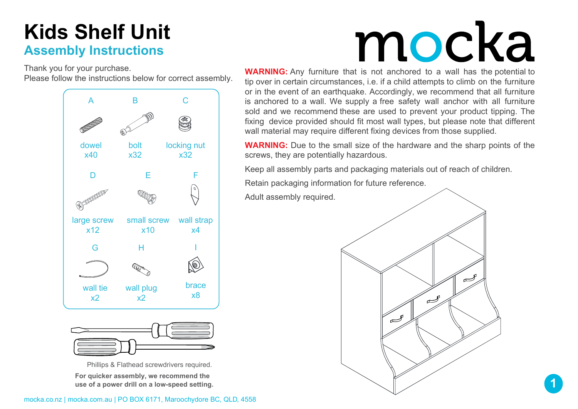### Kids Shelf Unit Assembly Instructions

Thank you for your purchase. Please follow the instructions below for correct assembly.





Phillips & Flathead screwdrivers required. For quicker assembly, we recommend the use of a power drill on a low-speed setting.

# mocka

WARNING: Any furniture that is not anchored to a wall has the potential to tip over in certain circumstances, i.e. if a child attempts to climb on the furniture or in the event of an earthquake. Accordingly, we recommend that all furniture is anchored to a wall. We supply a free safety wall anchor with all furniture sold and we recommend these are used to prevent your product tipping. The fixing device provided should fit most wall types, but please note that different wall material may require different fixing devices from those supplied.

WARNING: Due to the small size of the hardware and the sharp points of the screws, they are potentially hazardous.

Keep all assembly parts and packaging materials out of reach of children.

Retain packaging information for future reference.

Adult assembly required.



1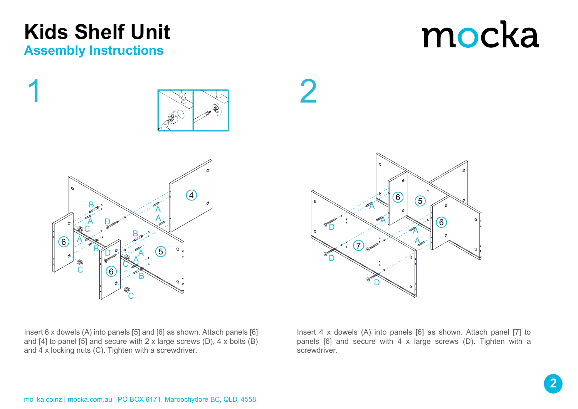### mocka





Insert 6 x dowels (A) into panels [5] and [6] as shown. Attach panels [6] and [4] to panel [5] and secure with 2 x large screws (D), 4 x bolts (B) and 4 x locking nuts (C). Tighten with a screwdriver.

Insert 4 x dowels (A) into panels [6] as shown. Attach panel [7] to panels [6] and secure with 4 x large screws (D). Tighten with a screwdriver.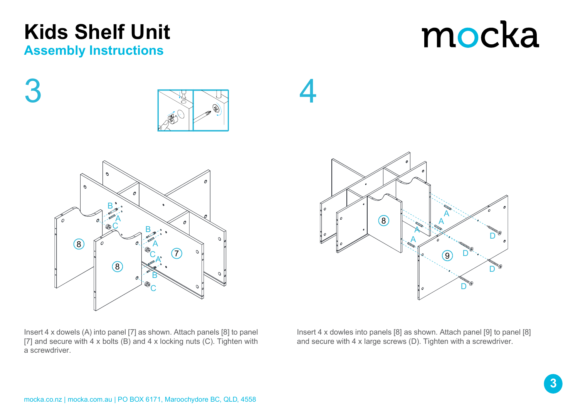Insert 4 x dowles into panels [8] as shown. Attach panel [9] to panel [8] and secure with 4 x large screws (D). Tighten with a screwdriver.

A

 $\mathsf{C}$ 

B,

A

 $\mathcal{T}$ 

O

 $\mathcal{D}$ 

 $\Omega$ 

 $\Omega$ 

 $\mathsf{B}$ 

 $\infty$ 

Insert 4 x dowels (A) into panel [7] as shown. Attach panels [8] to panel [7] and secure with  $4 \times$  bolts (B) and  $4 \times$  locking nuts (C). Tighten with a screwdriver.



A

 $\tilde{\mathsf{C}}$ 

8

B

@a

 $\mathcal{O}$ 

8



Assembly Instructions

3



4

## mocka

D

 $\Box$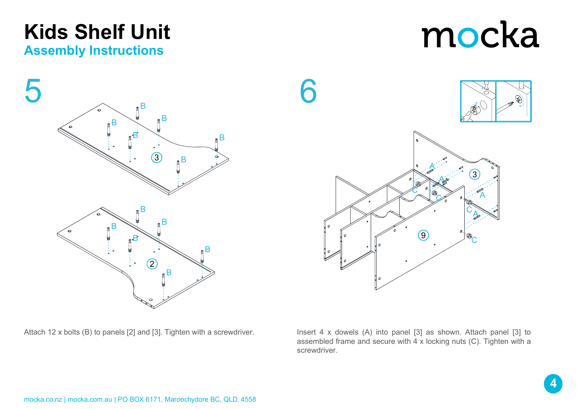### Assembly Instructions Kids Shelf Unit

assembled frame and secure with 4 x locking nuts (C). Tighten with a screwdriver.

Attach 12 x bolts (B) to panels [2] and [3]. Tighten with a screwdriver. Insert 4 x dowels (A) into panel [3] as shown. Attach panel [3] to





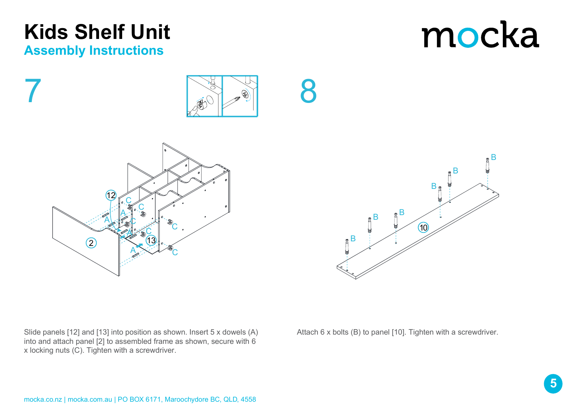



Slide panels [12] and [13] into position as shown. Insert 5 x dowels (A) into and attach panel [2] to assembled frame as shown, secure with 6 x locking nuts (C). Tighten with a screwdriver.



8

Attach 6 x bolts (B) to panel [10]. Tighten with a screwdriver.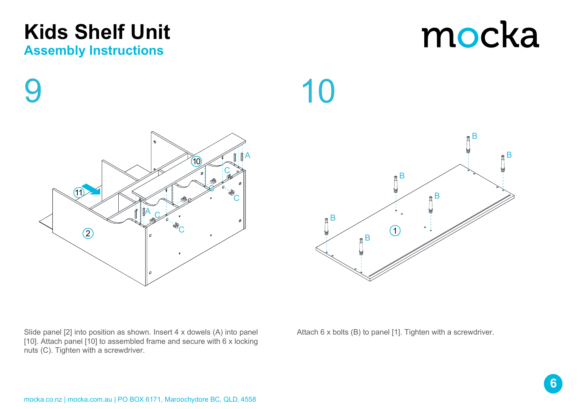### Kids Shelf Unit

#### Assembly Instructions

9

Slide panel [2] into position as shown. Insert 4 x dowels (A) into panel [10]. Attach panel [10] to assembled frame and secure with 6 x locking nuts (C). Tighten with a screwdriver.

Attach 6 x bolts (B) to panel [1]. Tighten with a screwdriver.



10



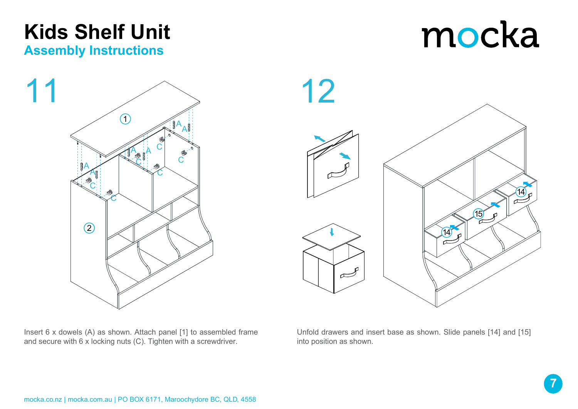### Assembly Instructions Kids Shelf Unit



Insert 6 x dowels (A) as shown. Attach panel [1] to assembled frame and secure with 6 x locking nuts (C). Tighten with a screwdriver.

Unfold drawers and insert base as shown. Slide panels [14] and [15] into position as shown.

14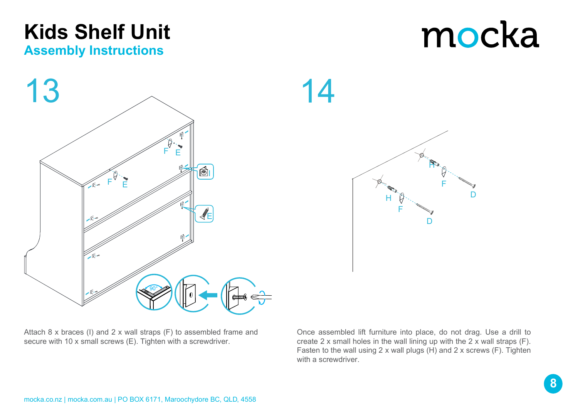

14



Attach 8 x braces (I) and 2 x wall straps (F) to assembled frame and secure with 10 x small screws (E). Tighten with a screwdriver.

Once assembled lift furniture into place, do not drag. Use a drill to create 2 x small holes in the wall lining up with the 2 x wall straps (F). Fasten to the wall using 2 x wall plugs (H) and 2 x screws (F). Tighten with a screwdriver